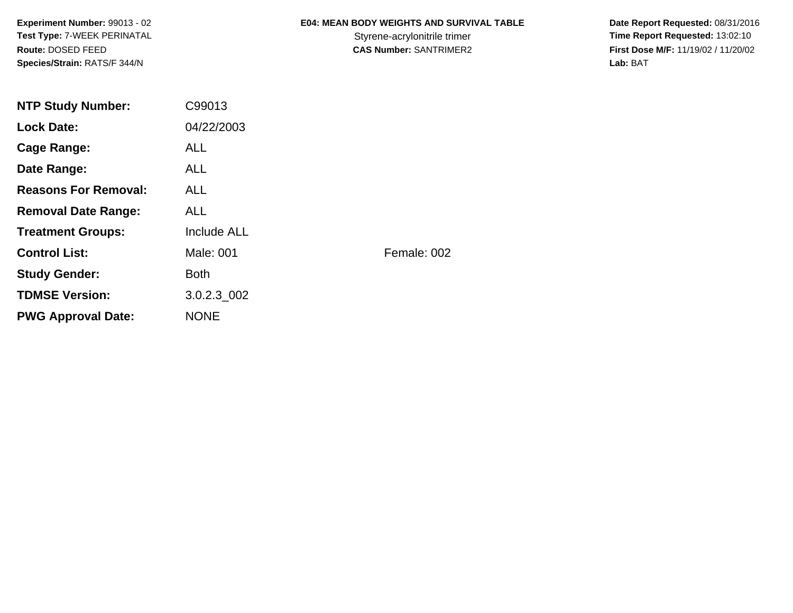**Experiment Number:** 99013 - 02**Test Type:** 7-WEEK PERINATAL**Route:** DOSED FEED**Species/Strain:** RATS/F 344/N

## **E04: MEAN BODY WEIGHTS AND SURVIVAL TABLE**

 **Date Report Requested:** 08/31/2016 Styrene-acrylonitrile trimer<br> **CAS Number:** SANTRIMER2 **Time Report Requested:** 13:02:10<br> **First Dose M/F:** 11/19/02 / 11/20/02 **First Dose M/F:** 11/19/02 / 11/20/02<br>Lab: BAT **Lab:** BAT

| <b>NTP Study Number:</b>    | C99013      |             |
|-----------------------------|-------------|-------------|
| <b>Lock Date:</b>           | 04/22/2003  |             |
| Cage Range:                 | <b>ALL</b>  |             |
| Date Range:                 | ALL.        |             |
| <b>Reasons For Removal:</b> | ALL.        |             |
| <b>Removal Date Range:</b>  | <b>ALL</b>  |             |
| <b>Treatment Groups:</b>    | Include ALL |             |
| <b>Control List:</b>        | Male: 001   | Female: 002 |
| <b>Study Gender:</b>        | <b>Both</b> |             |
| <b>TDMSE Version:</b>       | 3.0.2.3 002 |             |
| <b>PWG Approval Date:</b>   | <b>NONE</b> |             |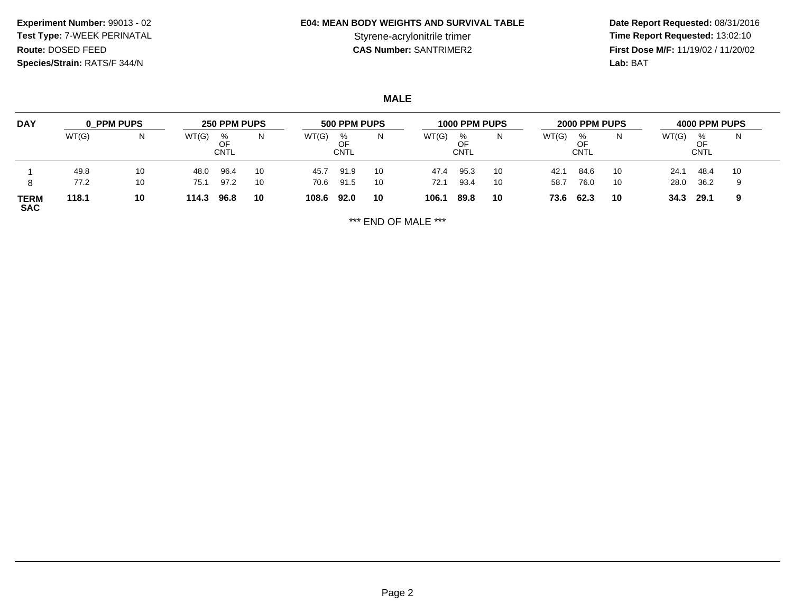**Experiment Number:** 99013 - 02**Test Type:** 7-WEEK PERINATAL**Route:** DOSED FEED**Species/Strain:** RATS/F 344/N

## **E04: MEAN BODY WEIGHTS AND SURVIVAL TABLE**

 **Date Report Requested:** 08/31/2016 Styrene-acrylonitrile trimer<br> **CAS Number:** SANTRIMER2 **Time Report Requested:** 13:02:10<br> **First Dose M/F:** 11/19/02 / 11/20/02 **First Dose M/F:** 11/19/02 / 11/20/02<br>Lab: BAT **Lab:** BAT

**MALE**

| <b>DAY</b>                | 0 PPM PUPS |    | 250 PPM PUPS |                        | 500 PPM PUPS |       |                 | 1000 PPM PUPS |       |                        | 2000 PPM PUPS |       |                        | 4000 PPM PUPS |       |                        |    |  |
|---------------------------|------------|----|--------------|------------------------|--------------|-------|-----------------|---------------|-------|------------------------|---------------|-------|------------------------|---------------|-------|------------------------|----|--|
|                           | WT(G)      | N  | WT(G)        | %<br>OF<br><b>CNTL</b> |              | WT(G) | %<br>ОF<br>CNTL | N             | WT(G) | %<br>OF<br><b>CNTL</b> | N             | WT(G) | %<br>OF<br><b>CNTL</b> |               | WT(G) | %<br>OF<br><b>CNTL</b> | N  |  |
|                           | 49.8       | 10 | 48.0         | 96.4                   | 10           | 45.7  | 91.9            | 10            | 47.4  | 95.3                   | 10            | 42.1  | 84.6                   | 10            | 24.7  | 48.4                   | 10 |  |
| 8                         | 77.2       | 10 | 75.1         | 97.2                   | 10           | 70.6  | 91.5            | 10            | 72.1  | 93.4                   | 10            | 58.7  | 76.0                   | -10           | 28.0  | 36.2                   | 9  |  |
| <b>TERM</b><br><b>SAC</b> | 118.1      | 10 | 114.3        | 96.8                   | 10           | 108.6 | 92.0            | 10            | 106.1 | 89.8                   | 10            | 73.6  | 62.3                   | 10            | 34.3  | 29.1                   | 9  |  |

\*\*\* END OF MALE \*\*\*